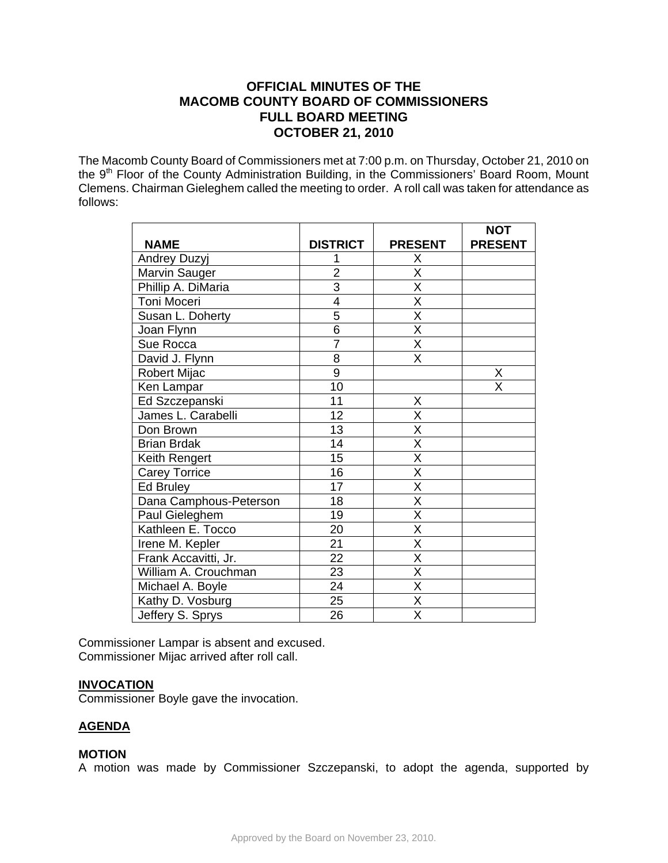# **OFFICIAL MINUTES OF THE MACOMB COUNTY BOARD OF COMMISSIONERS FULL BOARD MEETING OCTOBER 21, 2010**

The Macomb County Board of Commissioners met at 7:00 p.m. on Thursday, October 21, 2010 on the 9<sup>th</sup> Floor of the County Administration Building, in the Commissioners' Board Room, Mount Clemens. Chairman Gieleghem called the meeting to order. A roll call was taken for attendance as follows:

|                        |                 |                         | <b>NOT</b>     |
|------------------------|-----------------|-------------------------|----------------|
| <b>NAME</b>            | <b>DISTRICT</b> | <b>PRESENT</b>          | <b>PRESENT</b> |
| <b>Andrey Duzyj</b>    |                 | Χ                       |                |
| Marvin Sauger          | $\overline{2}$  | $\overline{\mathsf{X}}$ |                |
| Phillip A. DiMaria     | $\overline{3}$  | $\overline{\mathsf{x}}$ |                |
| Toni Moceri            | 4               | $\overline{\mathsf{x}}$ |                |
| Susan L. Doherty       | $\overline{5}$  | X                       |                |
| Joan Flynn             | $\overline{6}$  | $\overline{\mathsf{x}}$ |                |
| Sue Rocca              | $\overline{7}$  | $\overline{\mathsf{X}}$ |                |
| David J. Flynn         | 8               | X                       |                |
| <b>Robert Mijac</b>    | $\overline{9}$  |                         | Χ              |
| Ken Lampar             | 10              |                         | X              |
| Ed Szczepanski         | 11              | Χ                       |                |
| James L. Carabelli     | 12              | X                       |                |
| Don Brown              | 13              | X                       |                |
| <b>Brian Brdak</b>     | 14              | $\overline{\mathsf{x}}$ |                |
| Keith Rengert          | 15              | $\overline{\mathsf{x}}$ |                |
| <b>Carey Torrice</b>   | 16              | $\overline{\mathsf{x}}$ |                |
| Ed Bruley              | 17              | $\overline{\mathsf{x}}$ |                |
| Dana Camphous-Peterson | 18              | $\overline{\mathsf{x}}$ |                |
| Paul Gieleghem         | 19              | $\overline{\mathsf{x}}$ |                |
| Kathleen E. Tocco      | 20              | $\overline{\mathsf{x}}$ |                |
| Irene M. Kepler        | 21              | $\overline{\mathsf{X}}$ |                |
| Frank Accavitti, Jr.   | 22              | X                       |                |
| William A. Crouchman   | 23              | $\overline{\mathsf{x}}$ |                |
| Michael A. Boyle       | 24              | $\overline{\mathsf{x}}$ |                |
| Kathy D. Vosburg       | 25              | $\overline{\mathsf{x}}$ |                |
| Jeffery S. Sprys       | 26              | $\overline{\mathsf{x}}$ |                |

Commissioner Lampar is absent and excused. Commissioner Mijac arrived after roll call.

#### **INVOCATION**

Commissioner Boyle gave the invocation.

# **AGENDA**

#### **MOTION**

A motion was made by Commissioner Szczepanski, to adopt the agenda, supported by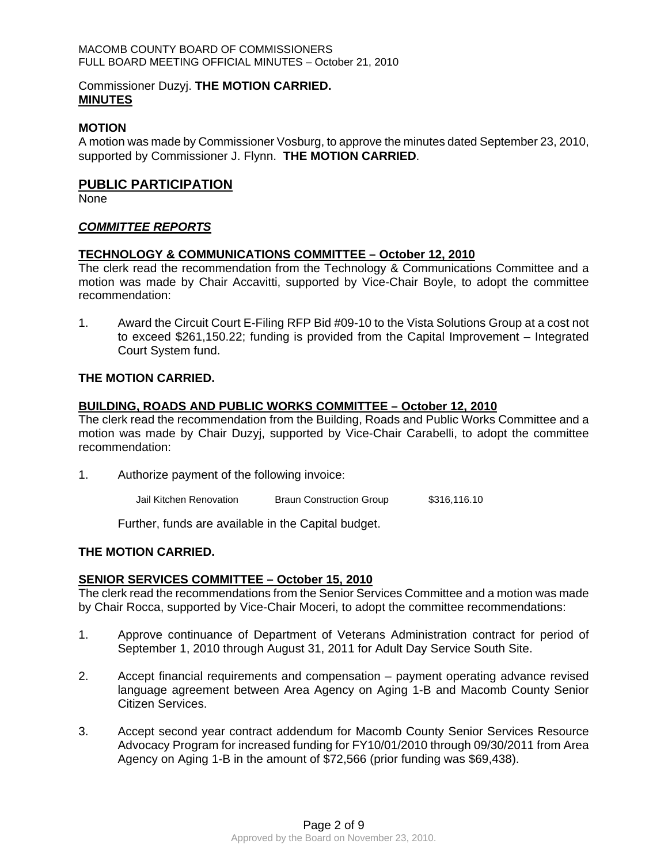#### Commissioner Duzyj. **THE MOTION CARRIED. MINUTES**

#### **MOTION**

A motion was made by Commissioner Vosburg, to approve the minutes dated September 23, 2010, supported by Commissioner J. Flynn. **THE MOTION CARRIED**.

### **PUBLIC PARTICIPATION**

None

## *COMMITTEE REPORTS*

#### **TECHNOLOGY & COMMUNICATIONS COMMITTEE – October 12, 2010**

The clerk read the recommendation from the Technology & Communications Committee and a motion was made by Chair Accavitti, supported by Vice-Chair Boyle, to adopt the committee recommendation:

1. Award the Circuit Court E-Filing RFP Bid #09-10 to the Vista Solutions Group at a cost not to exceed \$261,150.22; funding is provided from the Capital Improvement – Integrated Court System fund.

#### **THE MOTION CARRIED.**

#### **BUILDING, ROADS AND PUBLIC WORKS COMMITTEE – October 12, 2010**

The clerk read the recommendation from the Building, Roads and Public Works Committee and a motion was made by Chair Duzyj, supported by Vice-Chair Carabelli, to adopt the committee recommendation:

- 1. Authorize payment of the following invoice:
	- Jail Kitchen Renovation Braun Construction Group \$316,116.10

Further, funds are available in the Capital budget.

### **THE MOTION CARRIED.**

#### **SENIOR SERVICES COMMITTEE – October 15, 2010**

The clerk read the recommendations from the Senior Services Committee and a motion was made by Chair Rocca, supported by Vice-Chair Moceri, to adopt the committee recommendations:

- 1. Approve continuance of Department of Veterans Administration contract for period of September 1, 2010 through August 31, 2011 for Adult Day Service South Site.
- 2. Accept financial requirements and compensation payment operating advance revised language agreement between Area Agency on Aging 1-B and Macomb County Senior Citizen Services.
- 3. Accept second year contract addendum for Macomb County Senior Services Resource Advocacy Program for increased funding for FY10/01/2010 through 09/30/2011 from Area Agency on Aging 1-B in the amount of \$72,566 (prior funding was \$69,438).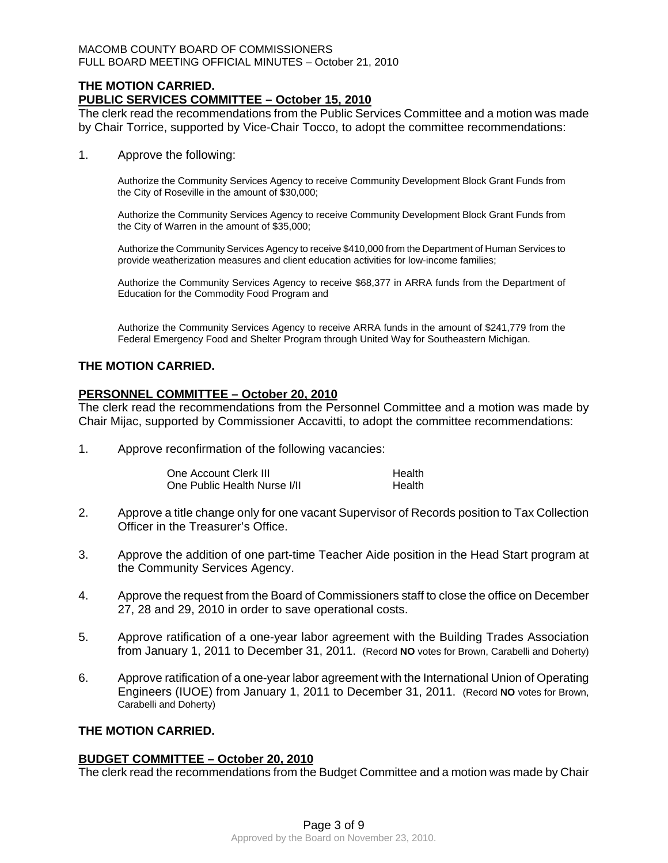## **THE MOTION CARRIED. PUBLIC SERVICES COMMITTEE – October 15, 2010**

The clerk read the recommendations from the Public Services Committee and a motion was made by Chair Torrice, supported by Vice-Chair Tocco, to adopt the committee recommendations:

1. Approve the following:

Authorize the Community Services Agency to receive Community Development Block Grant Funds from the City of Roseville in the amount of \$30,000;

Authorize the Community Services Agency to receive Community Development Block Grant Funds from the City of Warren in the amount of \$35,000;

Authorize the Community Services Agency to receive \$410,000 from the Department of Human Services to provide weatherization measures and client education activities for low-income families;

Authorize the Community Services Agency to receive \$68,377 in ARRA funds from the Department of Education for the Commodity Food Program and

Authorize the Community Services Agency to receive ARRA funds in the amount of \$241,779 from the Federal Emergency Food and Shelter Program through United Way for Southeastern Michigan.

#### **THE MOTION CARRIED.**

## **PERSONNEL COMMITTEE – October 20, 2010**

The clerk read the recommendations from the Personnel Committee and a motion was made by Chair Mijac, supported by Commissioner Accavitti, to adopt the committee recommendations:

1. Approve reconfirmation of the following vacancies:

One Account Clerk III **Health** One Public Health Nurse I/II **Health** 

- 2. Approve a title change only for one vacant Supervisor of Records position to Tax Collection Officer in the Treasurer's Office.
- 3. Approve the addition of one part-time Teacher Aide position in the Head Start program at the Community Services Agency.
- 4. Approve the request from the Board of Commissioners staff to close the office on December 27, 28 and 29, 2010 in order to save operational costs.
- 5. Approve ratification of a one-year labor agreement with the Building Trades Association from January 1, 2011 to December 31, 2011. (Record **NO** votes for Brown, Carabelli and Doherty)
- 6. Approve ratification of a one-year labor agreement with the International Union of Operating Engineers (IUOE) from January 1, 2011 to December 31, 2011. (Record **NO** votes for Brown, Carabelli and Doherty)

#### **THE MOTION CARRIED.**

#### **BUDGET COMMITTEE – October 20, 2010**

The clerk read the recommendations from the Budget Committee and a motion was made by Chair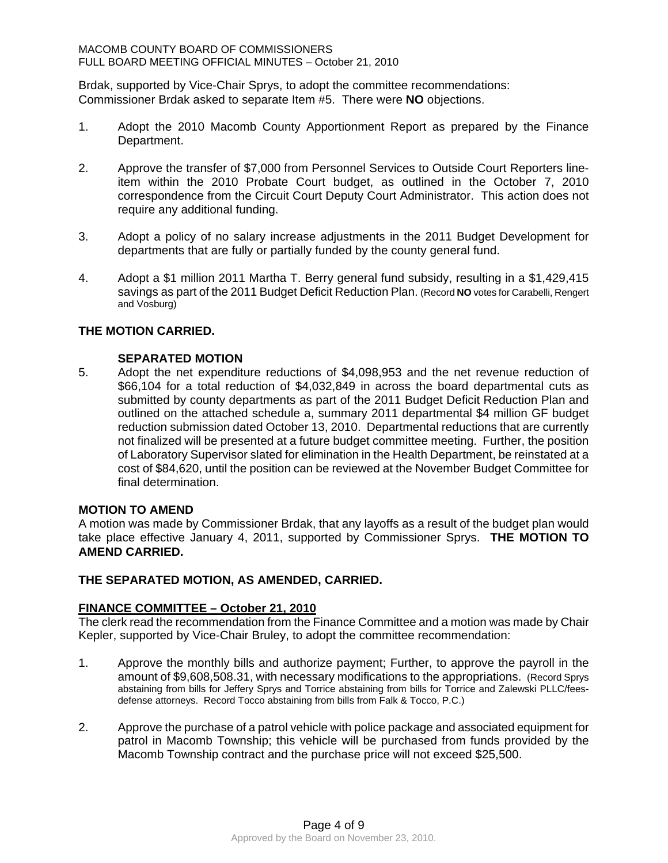Brdak, supported by Vice-Chair Sprys, to adopt the committee recommendations: Commissioner Brdak asked to separate Item #5. There were **NO** objections.

- 1. Adopt the 2010 Macomb County Apportionment Report as prepared by the Finance Department.
- 2. Approve the transfer of \$7,000 from Personnel Services to Outside Court Reporters lineitem within the 2010 Probate Court budget, as outlined in the October 7, 2010 correspondence from the Circuit Court Deputy Court Administrator. This action does not require any additional funding.
- 3. Adopt a policy of no salary increase adjustments in the 2011 Budget Development for departments that are fully or partially funded by the county general fund.
- 4. Adopt a \$1 million 2011 Martha T. Berry general fund subsidy, resulting in a \$1,429,415 savings as part of the 2011 Budget Deficit Reduction Plan. (Record **NO** votes for Carabelli, Rengert and Vosburg)

## **THE MOTION CARRIED.**

#### **SEPARATED MOTION**

5. Adopt the net expenditure reductions of \$4,098,953 and the net revenue reduction of \$66,104 for a total reduction of \$4,032,849 in across the board departmental cuts as submitted by county departments as part of the 2011 Budget Deficit Reduction Plan and outlined on the attached schedule a, summary 2011 departmental \$4 million GF budget reduction submission dated October 13, 2010. Departmental reductions that are currently not finalized will be presented at a future budget committee meeting. Further, the position of Laboratory Supervisor slated for elimination in the Health Department, be reinstated at a cost of \$84,620, until the position can be reviewed at the November Budget Committee for final determination.

#### **MOTION TO AMEND**

A motion was made by Commissioner Brdak, that any layoffs as a result of the budget plan would take place effective January 4, 2011, supported by Commissioner Sprys. **THE MOTION TO AMEND CARRIED.** 

#### **THE SEPARATED MOTION, AS AMENDED, CARRIED.**

#### **FINANCE COMMITTEE – October 21, 2010**

The clerk read the recommendation from the Finance Committee and a motion was made by Chair Kepler, supported by Vice-Chair Bruley, to adopt the committee recommendation:

- 1. Approve the monthly bills and authorize payment; Further, to approve the payroll in the amount of \$9,608,508.31, with necessary modifications to the appropriations. (Record Sprys abstaining from bills for Jeffery Sprys and Torrice abstaining from bills for Torrice and Zalewski PLLC/feesdefense attorneys. Record Tocco abstaining from bills from Falk & Tocco, P.C.)
- 2. Approve the purchase of a patrol vehicle with police package and associated equipment for patrol in Macomb Township; this vehicle will be purchased from funds provided by the Macomb Township contract and the purchase price will not exceed \$25,500.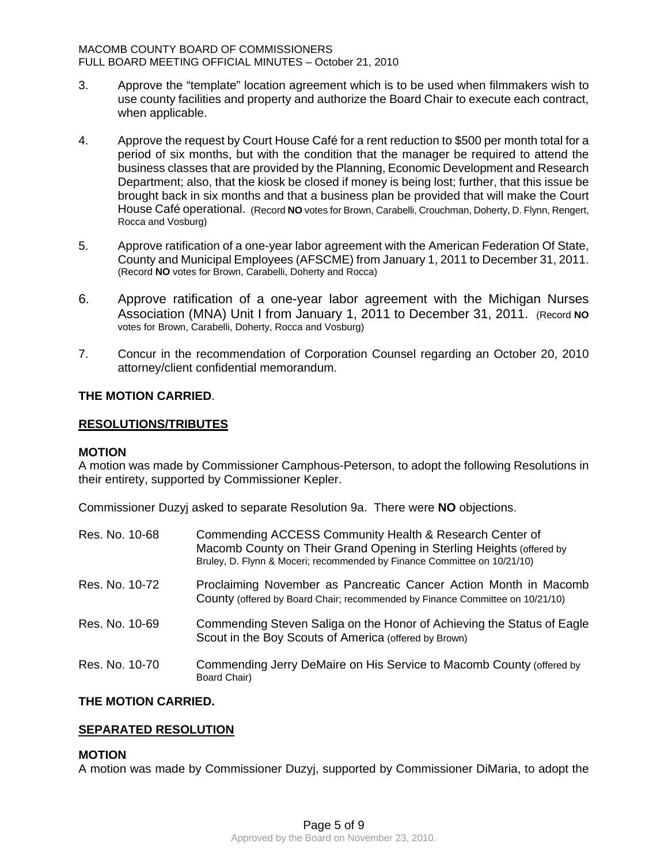- 3. Approve the "template" location agreement which is to be used when filmmakers wish to use county facilities and property and authorize the Board Chair to execute each contract, when applicable.
- 4. Approve the request by Court House Café for a rent reduction to \$500 per month total for a period of six months, but with the condition that the manager be required to attend the business classes that are provided by the Planning, Economic Development and Research Department; also, that the kiosk be closed if money is being lost; further, that this issue be brought back in six months and that a business plan be provided that will make the Court House Café operational. (Record **NO** votes for Brown, Carabelli, Crouchman, Doherty, D. Flynn, Rengert, Rocca and Vosburg)
- 5. Approve ratification of a one-year labor agreement with the American Federation Of State, County and Municipal Employees (AFSCME) from January 1, 2011 to December 31, 2011. (Record **NO** votes for Brown, Carabelli, Doherty and Rocca)
- 6. Approve ratification of a one-year labor agreement with the Michigan Nurses Association (MNA) Unit I from January 1, 2011 to December 31, 2011. (Record **NO** votes for Brown, Carabelli, Doherty, Rocca and Vosburg)
- 7. Concur in the recommendation of Corporation Counsel regarding an October 20, 2010 attorney/client confidential memorandum.

## **THE MOTION CARRIED**.

#### **RESOLUTIONS/TRIBUTES**

#### **MOTION**

A motion was made by Commissioner Camphous-Peterson, to adopt the following Resolutions in their entirety, supported by Commissioner Kepler.

Commissioner Duzyj asked to separate Resolution 9a. There were **NO** objections.

| Res. No. 10-68 | Commending ACCESS Community Health & Research Center of<br>Macomb County on Their Grand Opening in Sterling Heights (offered by<br>Bruley, D. Flynn & Moceri; recommended by Finance Committee on 10/21/10) |
|----------------|-------------------------------------------------------------------------------------------------------------------------------------------------------------------------------------------------------------|
| Res. No. 10-72 | Proclaiming November as Pancreatic Cancer Action Month in Macomb<br>County (offered by Board Chair; recommended by Finance Committee on 10/21/10)                                                           |
| Res. No. 10-69 | Commending Steven Saliga on the Honor of Achieving the Status of Eagle<br>Scout in the Boy Scouts of America (offered by Brown)                                                                             |
| Res. No. 10-70 | Commending Jerry DeMaire on His Service to Macomb County (offered by<br>Board Chair)                                                                                                                        |

### **THE MOTION CARRIED.**

# **SEPARATED RESOLUTION**

# **MOTION**

A motion was made by Commissioner Duzyj, supported by Commissioner DiMaria, to adopt the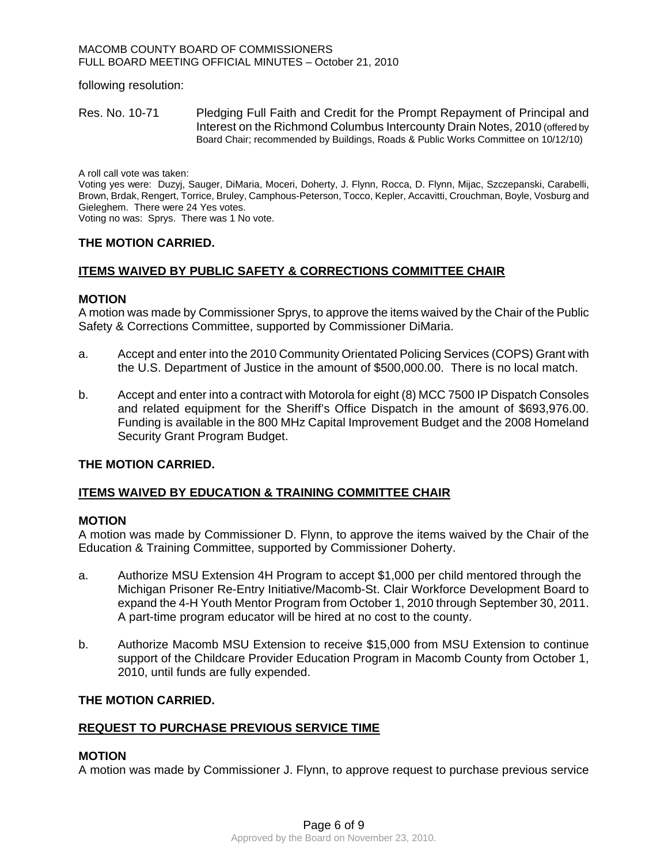following resolution:

Res. No. 10-71 Pledging Full Faith and Credit for the Prompt Repayment of Principal and Interest on the Richmond Columbus Intercounty Drain Notes, 2010 (offered by Board Chair; recommended by Buildings, Roads & Public Works Committee on 10/12/10)

A roll call vote was taken:

Voting yes were: Duzyj, Sauger, DiMaria, Moceri, Doherty, J. Flynn, Rocca, D. Flynn, Mijac, Szczepanski, Carabelli, Brown, Brdak, Rengert, Torrice, Bruley, Camphous-Peterson, Tocco, Kepler, Accavitti, Crouchman, Boyle, Vosburg and Gieleghem. There were 24 Yes votes.

Voting no was: Sprys. There was 1 No vote.

#### **THE MOTION CARRIED.**

#### **ITEMS WAIVED BY PUBLIC SAFETY & CORRECTIONS COMMITTEE CHAIR**

#### **MOTION**

A motion was made by Commissioner Sprys, to approve the items waived by the Chair of the Public Safety & Corrections Committee, supported by Commissioner DiMaria.

- a. Accept and enter into the 2010 Community Orientated Policing Services (COPS) Grant with the U.S. Department of Justice in the amount of \$500,000.00. There is no local match.
- b. Accept and enter into a contract with Motorola for eight (8) MCC 7500 IP Dispatch Consoles and related equipment for the Sheriff's Office Dispatch in the amount of \$693,976.00. Funding is available in the 800 MHz Capital Improvement Budget and the 2008 Homeland Security Grant Program Budget.

#### **THE MOTION CARRIED.**

#### **ITEMS WAIVED BY EDUCATION & TRAINING COMMITTEE CHAIR**

#### **MOTION**

A motion was made by Commissioner D. Flynn, to approve the items waived by the Chair of the Education & Training Committee, supported by Commissioner Doherty.

- a. Authorize MSU Extension 4H Program to accept \$1,000 per child mentored through the Michigan Prisoner Re-Entry Initiative/Macomb-St. Clair Workforce Development Board to expand the 4-H Youth Mentor Program from October 1, 2010 through September 30, 2011. A part-time program educator will be hired at no cost to the county.
- b. Authorize Macomb MSU Extension to receive \$15,000 from MSU Extension to continue support of the Childcare Provider Education Program in Macomb County from October 1, 2010, until funds are fully expended.

### **THE MOTION CARRIED.**

#### **REQUEST TO PURCHASE PREVIOUS SERVICE TIME**

#### **MOTION**

A motion was made by Commissioner J. Flynn, to approve request to purchase previous service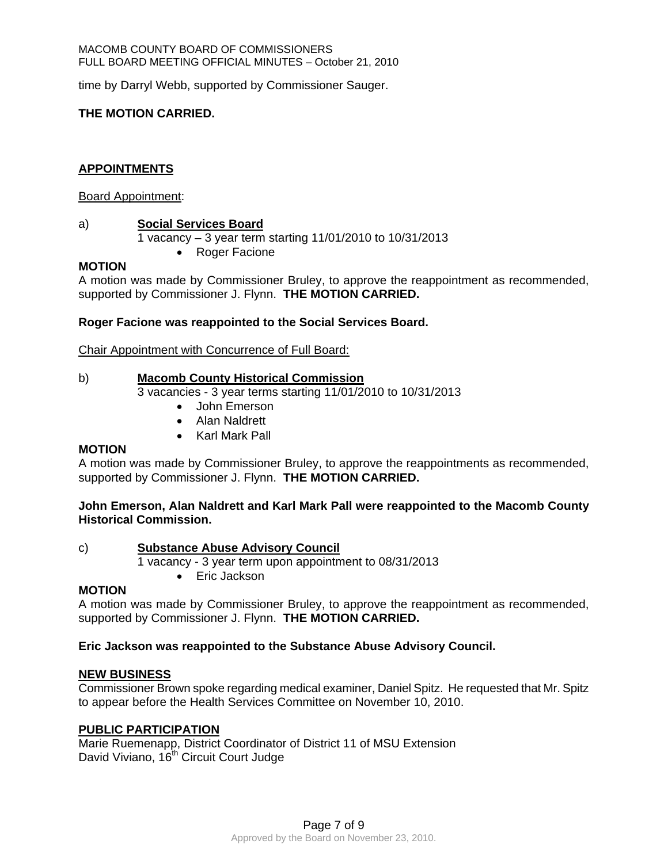time by Darryl Webb, supported by Commissioner Sauger.

# **THE MOTION CARRIED.**

# **APPOINTMENTS**

#### Board Appointment:

## a) **Social Services Board**

1 vacancy – 3 year term starting 11/01/2010 to 10/31/2013

• Roger Facione

## **MOTION**

A motion was made by Commissioner Bruley, to approve the reappointment as recommended, supported by Commissioner J. Flynn. **THE MOTION CARRIED.** 

## **Roger Facione was reappointed to the Social Services Board.**

Chair Appointment with Concurrence of Full Board:

# b) **Macomb County Historical Commission**

3 vacancies - 3 year terms starting 11/01/2010 to 10/31/2013

- John Emerson
- Alan Naldrett
- Karl Mark Pall

# **MOTION**

A motion was made by Commissioner Bruley, to approve the reappointments as recommended, supported by Commissioner J. Flynn. **THE MOTION CARRIED.** 

**John Emerson, Alan Naldrett and Karl Mark Pall were reappointed to the Macomb County Historical Commission.** 

# c) **Substance Abuse Advisory Council**

1 vacancy - 3 year term upon appointment to 08/31/2013

• Eric Jackson

#### **MOTION**

A motion was made by Commissioner Bruley, to approve the reappointment as recommended, supported by Commissioner J. Flynn. **THE MOTION CARRIED.** 

# **Eric Jackson was reappointed to the Substance Abuse Advisory Council.**

#### **NEW BUSINESS**

Commissioner Brown spoke regarding medical examiner, Daniel Spitz. He requested that Mr. Spitz to appear before the Health Services Committee on November 10, 2010.

#### **PUBLIC PARTICIPATION**

Marie Ruemenapp, District Coordinator of District 11 of MSU Extension David Viviano, 16<sup>th</sup> Circuit Court Judge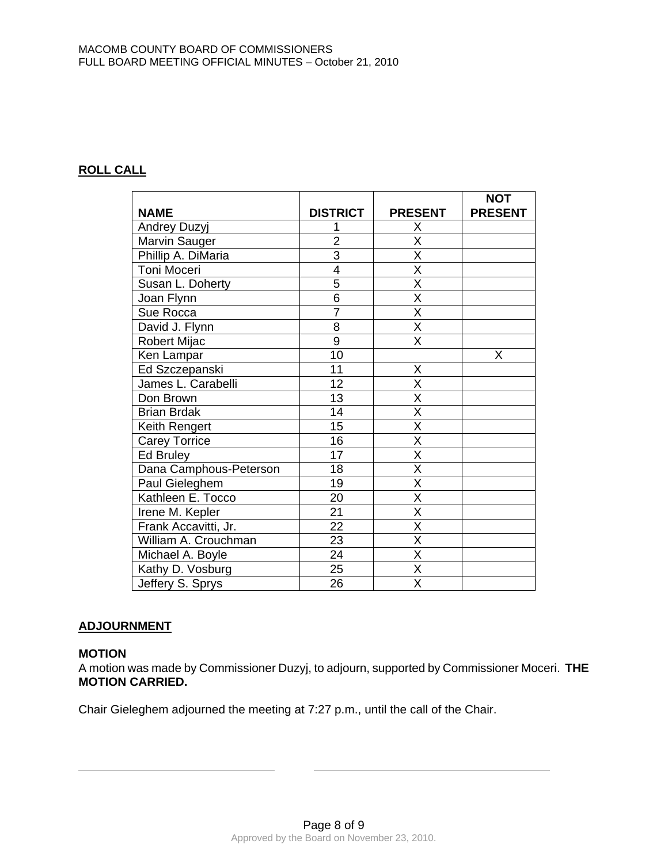# **ROLL CALL**

|                        |                 |                         | <b>NOT</b>     |
|------------------------|-----------------|-------------------------|----------------|
| <b>NAME</b>            | <b>DISTRICT</b> | <b>PRESENT</b>          | <b>PRESENT</b> |
| Andrey Duzyj           | 1               | Х                       |                |
| Marvin Sauger          | $\overline{2}$  | $\overline{\mathsf{x}}$ |                |
| Phillip A. DiMaria     | $\overline{3}$  | $\overline{\mathsf{x}}$ |                |
| Toni Moceri            | $\overline{4}$  | $\overline{\mathsf{x}}$ |                |
| Susan L. Doherty       | $\overline{5}$  | $\overline{\mathsf{X}}$ |                |
| Joan Flynn             | 6               | X                       |                |
| Sue Rocca              | $\overline{7}$  | $\overline{\mathsf{x}}$ |                |
| David J. Flynn         | 8               | $\overline{\mathsf{X}}$ |                |
| Robert Mijac           | 9               | $\overline{\mathsf{X}}$ |                |
| Ken Lampar             | $\overline{10}$ |                         | X              |
| Ed Szczepanski         | 11              | Χ                       |                |
| James L. Carabelli     | 12              | $\overline{\mathsf{x}}$ |                |
| Don Brown              | 13              | $\overline{\mathsf{X}}$ |                |
| <b>Brian Brdak</b>     | 14              | Χ                       |                |
| Keith Rengert          | 15              | $\overline{\sf x}$      |                |
| <b>Carey Torrice</b>   | 16              | $\overline{\mathsf{x}}$ |                |
| <b>Ed Bruley</b>       | 17              | X                       |                |
| Dana Camphous-Peterson | 18              | $\overline{\mathsf{x}}$ |                |
| Paul Gieleghem         | 19              | $\overline{\mathsf{x}}$ |                |
| Kathleen E. Tocco      | 20              | $\overline{\mathsf{x}}$ |                |
| <b>Irene M. Kepler</b> | $\overline{21}$ | $\overline{\mathsf{x}}$ |                |
| Frank Accavitti, Jr.   | 22              | $\overline{\mathsf{x}}$ |                |
| William A. Crouchman   | 23              | X                       |                |
| Michael A. Boyle       | 24              | $\overline{\mathsf{x}}$ |                |
| Kathy D. Vosburg       | 25              | $\overline{\mathsf{x}}$ |                |
| Jeffery S. Sprys       | 26              | X                       |                |

# **ADJOURNMENT**

# **MOTION**

L

A motion was made by Commissioner Duzyj, to adjourn, supported by Commissioner Moceri. **THE MOTION CARRIED.** 

Chair Gieleghem adjourned the meeting at 7:27 p.m., until the call of the Chair.